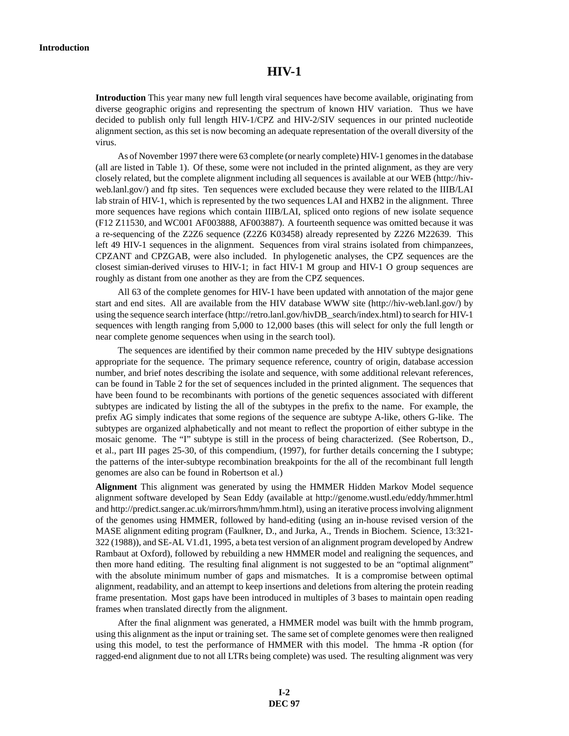## **HIV-1**

**Introduction** This year many new full length viral sequences have become available, originating from diverse geographic origins and representing the spectrum of known HIV variation. Thus we have decided to publish only full length HIV-1/CPZ and HIV-2/SIV sequences in our printed nucleotide alignment section, as this set is now becoming an adequate representation of the overall diversity of the virus.

As of November 1997 there were 63 complete (or nearly complete) HIV-1 genomes in the database (all are listed in Table 1). Of these, some were not included in the printed alignment, as they are very closely related, but the complete alignment including all sequences is available at our WEB (http://hivweb.lanl.gov/) and ftp sites. Ten sequences were excluded because they were related to the IIIB/LAI lab strain of HIV-1, which is represented by the two sequences LAI and HXB2 in the alignment. Three more sequences have regions which contain IIIB/LAI, spliced onto regions of new isolate sequence (F12 Z11530, and WC001 AF003888, AF003887). A fourteenth sequence was omitted because it was a re-sequencing of the Z2Z6 sequence (Z2Z6 K03458) already represented by Z2Z6 M22639. This left 49 HIV-1 sequences in the alignment. Sequences from viral strains isolated from chimpanzees, CPZANT and CPZGAB, were also included. In phylogenetic analyses, the CPZ sequences are the closest simian-derived viruses to HIV-1; in fact HIV-1 M group and HIV-1 O group sequences are roughly as distant from one another as they are from the CPZ sequences.

All 63 of the complete genomes for HIV-1 have been updated with annotation of the major gene start and end sites. All are available from the HIV database WWW site (http://hiv-web.lanl.gov/) by using the sequence search interface (http://retro.lanl.gov/hivDB\_search/index.html) to search for HIV-1 sequences with length ranging from 5,000 to 12,000 bases (this will select for only the full length or near complete genome sequences when using in the search tool).

The sequences are identified by their common name preceded by the HIV subtype designations appropriate for the sequence. The primary sequence reference, country of origin, database accession number, and brief notes describing the isolate and sequence, with some additional relevant references, can be found in Table 2 for the set of sequences included in the printed alignment. The sequences that have been found to be recombinants with portions of the genetic sequences associated with different subtypes are indicated by listing the all of the subtypes in the prefix to the name. For example, the prefix AG simply indicates that some regions of the sequence are subtype A-like, others G-like. The subtypes are organized alphabetically and not meant to reflect the proportion of either subtype in the mosaic genome. The "I" subtype is still in the process of being characterized. (See Robertson, D., et al., part III pages 25-30, of this compendium, (1997), for further details concerning the I subtype; the patterns of the inter-subtype recombination breakpoints for the all of the recombinant full length genomes are also can be found in Robertson et al.)

**Alignment** This alignment was generated by using the HMMER Hidden Markov Model sequence alignment software developed by Sean Eddy (available at http://genome.wustl.edu/eddy/hmmer.html and http://predict.sanger.ac.uk/mirrors/hmm/hmm.html), using an iterative process involving alignment of the genomes using HMMER, followed by hand-editing (using an in-house revised version of the MASE alignment editing program (Faulkner, D., and Jurka, A., Trends in Biochem. Science, 13:321- 322 (1988)), and SE-AL V1.d1, 1995, a beta test version of an alignment program developed by Andrew Rambaut at Oxford), followed by rebuilding a new HMMER model and realigning the sequences, and then more hand editing. The resulting final alignment is not suggested to be an "optimal alignment" with the absolute minimum number of gaps and mismatches. It is a compromise between optimal alignment, readability, and an attempt to keep insertions and deletions from altering the protein reading frame presentation. Most gaps have been introduced in multiples of 3 bases to maintain open reading frames when translated directly from the alignment.

After the final alignment was generated, a HMMER model was built with the hmmb program, using this alignment as the input or training set. The same set of complete genomes were then realigned using this model, to test the performance of HMMER with this model. The hmma -R option (for ragged-end alignment due to not all LTRs being complete) was used. The resulting alignment was very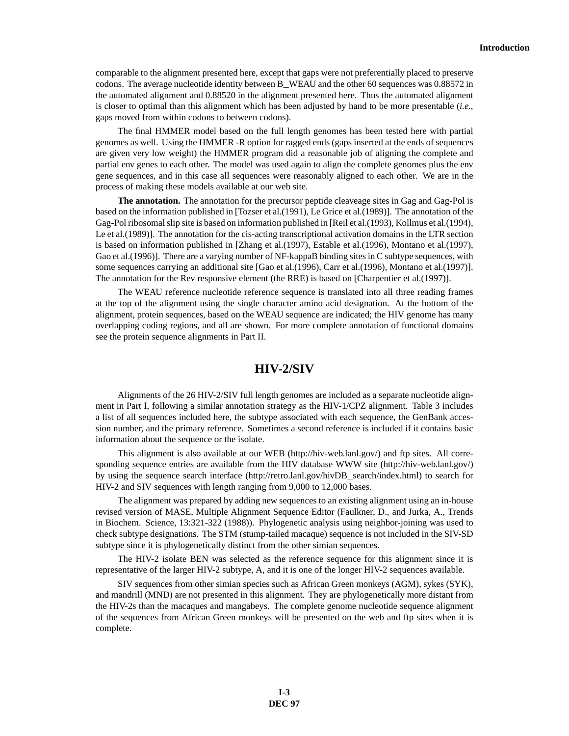comparable to the alignment presented here, except that gaps were not preferentially placed to preserve codons. The average nucleotide identity between B\_WEAU and the other 60 sequences was 0.88572 in the automated alignment and 0.88520 in the alignment presented here. Thus the automated alignment is closer to optimal than this alignment which has been adjusted by hand to be more presentable (*i.e.*, gaps moved from within codons to between codons).

The final HMMER model based on the full length genomes has been tested here with partial genomes as well. Using the HMMER -R option for ragged ends (gaps inserted at the ends of sequences are given very low weight) the HMMER program did a reasonable job of aligning the complete and partial env genes to each other. The model was used again to align the complete genomes plus the env gene sequences, and in this case all sequences were reasonably aligned to each other. We are in the process of making these models available at our web site.

**The annotation.** The annotation for the precursor peptide cleaveage sites in Gag and Gag-Pol is based on the information published in [Tozser et al.(1991), Le Grice et al.(1989)]. The annotation of the Gag-Pol ribosomal slip site is based on information published in [Reil et al.(1993), Kollmus et al.(1994), Le et al.(1989)]. The annotation for the cis-acting transcriptional activation domains in the LTR section is based on information published in [Zhang et al.(1997), Estable et al.(1996), Montano et al.(1997), Gao et al.(1996)]. There are a varying number of NF-kappaB binding sites in C subtype sequences, with some sequences carrying an additional site [Gao et al.(1996), Carr et al.(1996), Montano et al.(1997)]. The annotation for the Rev responsive element (the RRE) is based on [Charpentier et al.(1997)].

The WEAU reference nucleotide reference sequence is translated into all three reading frames at the top of the alignment using the single character amino acid designation. At the bottom of the alignment, protein sequences, based on the WEAU sequence are indicated; the HIV genome has many overlapping coding regions, and all are shown. For more complete annotation of functional domains see the protein sequence alignments in Part II.

## **HIV-2/SIV**

Alignments of the 26 HIV-2/SIV full length genomes are included as a separate nucleotide alignment in Part I, following a similar annotation strategy as the HIV-1/CPZ alignment. Table 3 includes a list of all sequences included here, the subtype associated with each sequence, the GenBank accession number, and the primary reference. Sometimes a second reference is included if it contains basic information about the sequence or the isolate.

This alignment is also available at our WEB (http://hiv-web.lanl.gov/) and ftp sites. All corresponding sequence entries are available from the HIV database WWW site (http://hiv-web.lanl.gov/) by using the sequence search interface (http://retro.lanl.gov/hivDB\_search/index.html) to search for HIV-2 and SIV sequences with length ranging from 9,000 to 12,000 bases.

The alignment was prepared by adding new sequences to an existing alignment using an in-house revised version of MASE, Multiple Alignment Sequence Editor (Faulkner, D., and Jurka, A., Trends in Biochem. Science, 13:321-322 (1988)). Phylogenetic analysis using neighbor-joining was used to check subtype designations. The STM (stump-tailed macaque) sequence is not included in the SIV-SD subtype since it is phylogenetically distinct from the other simian sequences.

The HIV-2 isolate BEN was selected as the reference sequence for this alignment since it is representative of the larger HIV-2 subtype, A, and it is one of the longer HIV-2 sequences available.

SIV sequences from other simian species such as African Green monkeys (AGM), sykes (SYK), and mandrill (MND) are not presented in this alignment. They are phylogenetically more distant from the HIV-2s than the macaques and mangabeys. The complete genome nucleotide sequence alignment of the sequences from African Green monkeys will be presented on the web and ftp sites when it is complete.